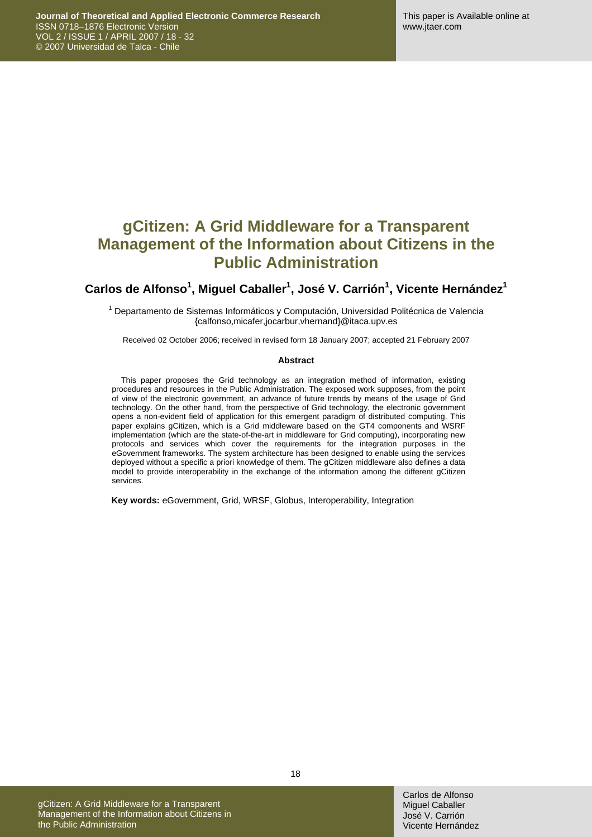## **gCitizen: A Grid Middleware for a Transparent Management of the Information about Citizens in the Public Administration**

### Carlos de Alfonso<sup>1</sup>, Miguel Caballer<sup>1</sup>, José V. Carrión<sup>1</sup>, Vicente Hernández<sup>1</sup>

<sup>1</sup> Departamento de Sistemas Informáticos y Computación, Universidad Politécnica de Valencia {calfonso,micafer,jocarbur,vhernand}@itaca.upv.es

Received 02 October 2006; received in revised form 18 January 2007; accepted 21 February 2007

#### **Abstract**

This paper proposes the Grid technology as an integration method of information, existing procedures and resources in the Public Administration. The exposed work supposes, from the point of view of the electronic government, an advance of future trends by means of the usage of Grid technology. On the other hand, from the perspective of Grid technology, the electronic government opens a non-evident field of application for this emergent paradigm of distributed computing. This paper explains gCitizen, which is a Grid middleware based on the GT4 components and WSRF implementation (which are the state-of-the-art in middleware for Grid computing), incorporating new protocols and services which cover the requirements for the integration purposes in the eGovernment frameworks. The system architecture has been designed to enable using the services deployed without a specific a priori knowledge of them. The gCitizen middleware also defines a data model to provide interoperability in the exchange of the information among the different gCitizen services.

**Key words:** eGovernment, Grid, WRSF, Globus, Interoperability, Integration

gCitizen: A Grid Middleware for a Transparent Management of the Information about Citizens in the Public Administration

18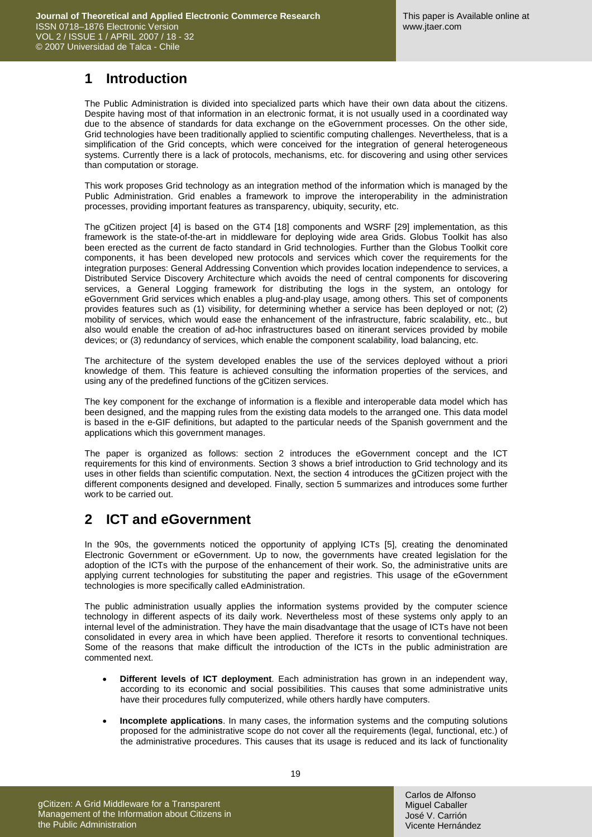### **1 Introduction**

The Public Administration is divided into specialized parts which have their own data about the citizens. Despite having most of that information in an electronic format, it is not usually used in a coordinated way due to the absence of standards for data exchange on the eGovernment processes. On the other side, Grid technologies have been traditionally applied to scientific computing challenges. Nevertheless, that is a simplification of the Grid concepts, which were conceived for the integration of general heterogeneous systems. Currently there is a lack of protocols, mechanisms, etc. for discovering and using other services than computation or storage.

This work proposes Grid technology as an integration method of the information which is managed by the Public Administration. Grid enables a framework to improve the interoperability in the administration processes, providing important features as transparency, ubiquity, security, etc.

The gCitizen project [\[4\]](#page-13-0) is based on the GT4 [\[18\]](#page-13-1) components and WSRF [\[29\]](#page-14-0) implementation, as this framework is the state-of-the-art in middleware for deploying wide area Grids. Globus Toolkit has also been erected as the current de facto standard in Grid technologies. Further than the Globus Toolkit core components, it has been developed new protocols and services which cover the requirements for the integration purposes: General Addressing Convention which provides location independence to services, a Distributed Service Discovery Architecture which avoids the need of central components for discovering services, a General Logging framework for distributing the logs in the system, an ontology for eGovernment Grid services which enables a plug-and-play usage, among others. This set of components provides features such as (1) visibility, for determining whether a service has been deployed or not; (2) mobility of services, which would ease the enhancement of the infrastructure, fabric scalability, etc., but also would enable the creation of ad-hoc infrastructures based on itinerant services provided by mobile devices; or (3) redundancy of services, which enable the component scalability, load balancing, etc.

The architecture of the system developed enables the use of the services deployed without a priori knowledge of them. This feature is achieved consulting the information properties of the services, and using any of the predefined functions of the gCitizen services.

The key component for the exchange of information is a flexible and interoperable data model which has been designed, and the mapping rules from the existing data models to the arranged one. This data model is based in the e-GIF definitions, but adapted to the particular needs of the Spanish government and the applications which this government manages.

The paper is organized as follows: section 2 introduces the eGovernment concept and the ICT requirements for this kind of environments. Section 3 shows a brief introduction to Grid technology and its uses in other fields than scientific computation. Next, the section 4 introduces the gCitizen project with the different components designed and developed. Finally, section 5 summarizes and introduces some further work to be carried out.

### **2 ICT and eGovernment**

In the 90s, the governments noticed the opportunity of applying ICTs [\[5\],](#page-13-2) creating the denominated Electronic Government or eGovernment. Up to now, the governments have created legislation for the adoption of the ICTs with the purpose of the enhancement of their work. So, the administrative units are applying current technologies for substituting the paper and registries. This usage of the eGovernment technologies is more specifically called eAdministration.

The public administration usually applies the information systems provided by the computer science technology in different aspects of its daily work. Nevertheless most of these systems only apply to an internal level of the administration. They have the main disadvantage that the usage of ICTs have not been consolidated in every area in which have been applied. Therefore it resorts to conventional techniques. Some of the reasons that make difficult the introduction of the ICTs in the public administration are commented next.

- **Different levels of ICT deployment**. Each administration has grown in an independent way, according to its economic and social possibilities. This causes that some administrative units have their procedures fully computerized, while others hardly have computers.
- **Incomplete applications**. In many cases, the information systems and the computing solutions proposed for the administrative scope do not cover all the requirements (legal, functional, etc.) of the administrative procedures. This causes that its usage is reduced and its lack of functionality

gCitizen: A Grid Middleware for a Transparent Management of the Information about Citizens in the Public Administration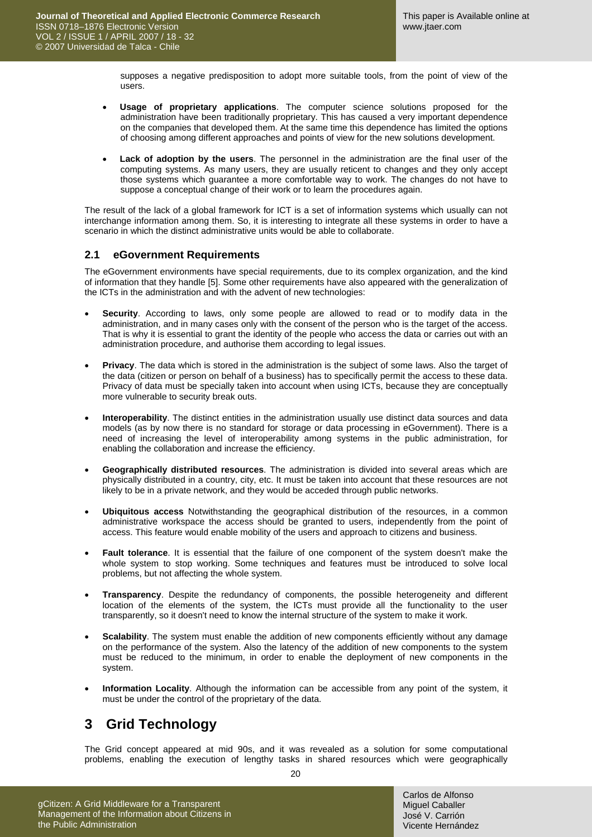supposes a negative predisposition to adopt more suitable tools, from the point of view of the users.

- **Usage of proprietary applications**. The computer science solutions proposed for the administration have been traditionally proprietary. This has caused a very important dependence on the companies that developed them. At the same time this dependence has limited the options of choosing among different approaches and points of view for the new solutions development.
- **Lack of adoption by the users**. The personnel in the administration are the final user of the computing systems. As many users, they are usually reticent to changes and they only accept those systems which guarantee a more comfortable way to work. The changes do not have to suppose a conceptual change of their work or to learn the procedures again.

The result of the lack of a global framework for ICT is a set of information systems which usually can not interchange information among them. So, it is interesting to integrate all these systems in order to have a scenario in which the distinct administrative units would be able to collaborate.

#### **2.1 eGovernment Requirements**

The eGovernment environments have special requirements, due to its complex organization, and the kind of information that they handle [\[5\]](#page-13-2). Some other requirements have also appeared with the generalization of the ICTs in the administration and with the advent of new technologies:

- **Security**. According to laws, only some people are allowed to read or to modify data in the administration, and in many cases only with the consent of the person who is the target of the access. That is why it is essential to grant the identity of the people who access the data or carries out with an administration procedure, and authorise them according to legal issues.
- **Privacy**. The data which is stored in the administration is the subject of some laws. Also the target of the data (citizen or person on behalf of a business) has to specifically permit the access to these data. Privacy of data must be specially taken into account when using ICTs, because they are conceptually more vulnerable to security break outs.
- **Interoperability**. The distinct entities in the administration usually use distinct data sources and data models (as by now there is no standard for storage or data processing in eGovernment). There is a need of increasing the level of interoperability among systems in the public administration, for enabling the collaboration and increase the efficiency.
- **Geographically distributed resources**. The administration is divided into several areas which are physically distributed in a country, city, etc. It must be taken into account that these resources are not likely to be in a private network, and they would be acceded through public networks.
- **Ubiquitous access** Notwithstanding the geographical distribution of the resources, in a common administrative workspace the access should be granted to users, independently from the point of access. This feature would enable mobility of the users and approach to citizens and business.
- **Fault tolerance**. It is essential that the failure of one component of the system doesn't make the whole system to stop working. Some techniques and features must be introduced to solve local problems, but not affecting the whole system.
- **Transparency**. Despite the redundancy of components, the possible heterogeneity and different location of the elements of the system, the ICTs must provide all the functionality to the user transparently, so it doesn't need to know the internal structure of the system to make it work.
- **Scalability**. The system must enable the addition of new components efficiently without any damage on the performance of the system. Also the latency of the addition of new components to the system must be reduced to the minimum, in order to enable the deployment of new components in the system.
- **Information Locality**. Although the information can be accessible from any point of the system, it must be under the control of the proprietary of the data.

### **3 Grid Technology**

The Grid concept appeared at mid 90s, and it was revealed as a solution for some computational problems, enabling the execution of lengthy tasks in shared resources which were geographically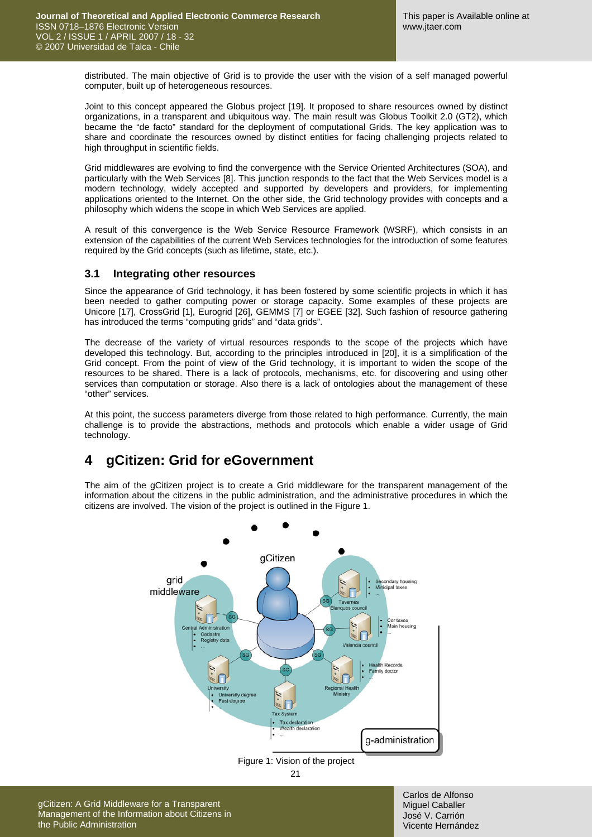distributed. The main objective of Grid is to provide the user with the vision of a self managed powerful computer, built up of heterogeneous resources.

Joint to this concept appeared the Globus project [\[19\].](#page-13-3) It proposed to share resources owned by distinct organizations, in a transparent and ubiquitous way. The main result was Globus Toolkit 2.0 (GT2), which became the "de facto" standard for the deployment of computational Grids. The key application was to share and coordinate the resources owned by distinct entities for facing challenging projects related to high throughput in scientific fields.

Grid middlewares are evolving to find the convergence with the Service Oriented Architectures (SOA), and particularly with the Web Services [\[8\]](#page-13-4). This junction responds to the fact that the Web Services model is a modern technology, widely accepted and supported by developers and providers, for implementing applications oriented to the Internet. On the other side, the Grid technology provides with concepts and a philosophy which widens the scope in which Web Services are applied.

A result of this convergence is the Web Service Resource Framework (WSRF), which consists in an extension of the capabilities of the current Web Services technologies for the introduction of some features required by the Grid concepts (such as lifetime, state, etc.).

#### **3.1 Integrating other resources**

Since the appearance of Grid technology, it has been fostered by some scientific projects in which it has been needed to gather computing power or storage capacity. Some examples of these projects are Unicore [\[17\]](#page-13-5), CrossGrid [\[1\],](#page-13-6) Eurogrid [\[26\],](#page-14-1) GEMMS [\[7\]](#page-13-7) or EGEE [\[32\]](#page-14-2). Such fashion of resource gathering has introduced the terms "computing grids" and "data grids".

The decrease of the variety of virtual resources responds to the scope of the projects which have developed this technology. But, according to the principles introduced in [\[20\]](#page-13-8), it is a simplification of the Grid concept. From the point of view of the Grid technology, it is important to widen the scope of the resources to be shared. There is a lack of protocols, mechanisms, etc. for discovering and using other services than computation or storage. Also there is a lack of ontologies about the management of these "other" services.

At this point, the success parameters diverge from those related to high performance. Currently, the main challenge is to provide the abstractions, methods and protocols which enable a wider usage of Grid technology.

### **4 gCitizen: Grid for eGovernment**

The aim of the gCitizen project is to create a Grid middleware for the transparent management of the information about the citizens in the public administration, and the administrative procedures in which the citizens are involved. The vision of the project is outlined in the [Figure 1.](#page-3-0)



<span id="page-3-0"></span>Figure 1: Vision of the project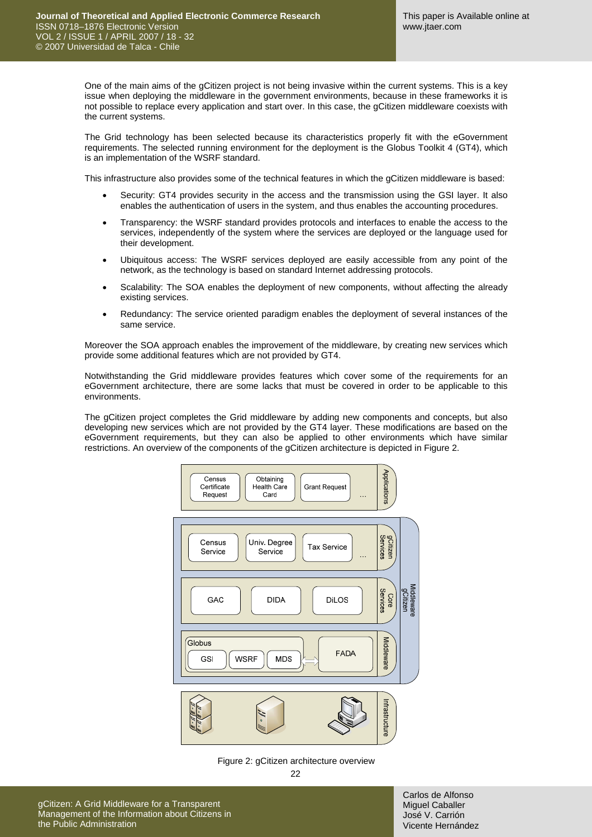One of the main aims of the gCitizen project is not being invasive within the current systems. This is a key issue when deploying the middleware in the government environments, because in these frameworks it is not possible to replace every application and start over. In this case, the gCitizen middleware coexists with the current systems.

The Grid technology has been selected because its characteristics properly fit with the eGovernment requirements. The selected running environment for the deployment is the Globus Toolkit 4 (GT4), which is an implementation of the WSRF standard.

This infrastructure also provides some of the technical features in which the gCitizen middleware is based:

- Security: GT4 provides security in the access and the transmission using the GSI layer. It also enables the authentication of users in the system, and thus enables the accounting procedures.
- Transparency: the WSRF standard provides protocols and interfaces to enable the access to the services, independently of the system where the services are deployed or the language used for their development.
- Ubiquitous access: The WSRF services deployed are easily accessible from any point of the network, as the technology is based on standard Internet addressing protocols.
- Scalability: The SOA enables the deployment of new components, without affecting the already existing services.
- Redundancy: The service oriented paradigm enables the deployment of several instances of the same service.

Moreover the SOA approach enables the improvement of the middleware, by creating new services which provide some additional features which are not provided by GT4.

Notwithstanding the Grid middleware provides features which cover some of the requirements for an eGovernment architecture, there are some lacks that must be covered in order to be applicable to this environments.

The gCitizen project completes the Grid middleware by adding new components and concepts, but also developing new services which are not provided by the GT4 layer. These modifications are based on the eGovernment requirements, but they can also be applied to other environments which have similar restrictions. An overview of the components of the gCitizen architecture is depicted in [Figure 2](#page-4-0).



<span id="page-4-0"></span>Figure 2: gCitizen architecture overview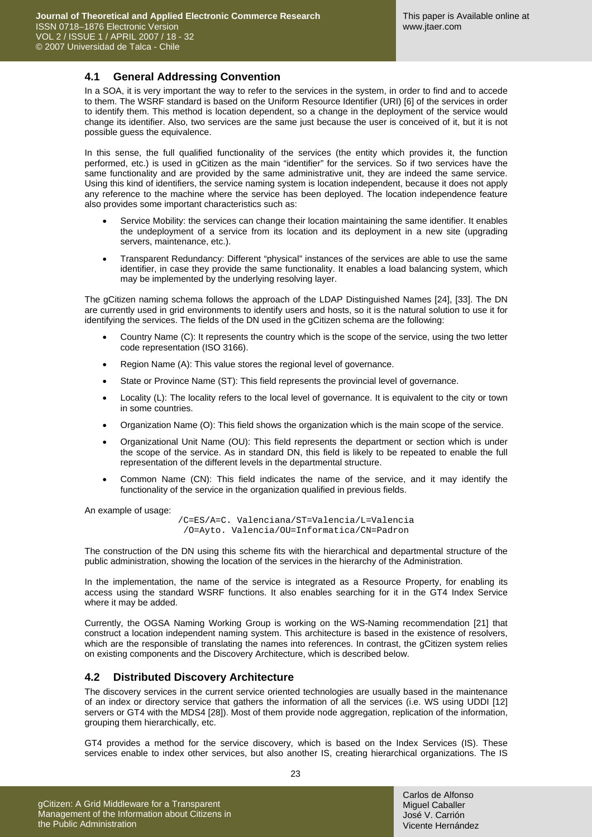#### **4.1 General Addressing Convention**

In a SOA, it is very important the way to refer to the services in the system, in order to find and to accede to them. The WSRF standard is based on the Uniform Resource Identifier (URI) [\[6\]](#page-13-9) of the services in order to identify them. This method is location dependent, so a change in the deployment of the service would change its identifier. Also, two services are the same just because the user is conceived of it, but it is not possible guess the equivalence.

In this sense, the full qualified functionality of the services (the entity which provides it, the function performed, etc.) is used in gCitizen as the main "identifier" for the services. So if two services have the same functionality and are provided by the same administrative unit, they are indeed the same service. Using this kind of identifiers, the service naming system is location independent, because it does not apply any reference to the machine where the service has been deployed. The location independence feature also provides some important characteristics such as:

- Service Mobility: the services can change their location maintaining the same identifier. It enables the undeployment of a service from its location and its deployment in a new site (upgrading servers, maintenance, etc.).
- Transparent Redundancy: Different "physical" instances of the services are able to use the same identifier, in case they provide the same functionality. It enables a load balancing system, which may be implemented by the underlying resolving layer.

The gCitizen naming schema follows the approach of the LDAP Distinguished Names [\[24\],](#page-13-10) [\[33\].](#page-14-3) The DN are currently used in grid environments to identify users and hosts, so it is the natural solution to use it for identifying the services. The fields of the DN used in the gCitizen schema are the following:

- Country Name (C): It represents the country which is the scope of the service, using the two letter code representation (ISO 3166).
- Region Name (A): This value stores the regional level of governance.
- State or Province Name (ST): This field represents the provincial level of governance.
- Locality (L): The locality refers to the local level of governance. It is equivalent to the city or town in some countries.
- Organization Name (O): This field shows the organization which is the main scope of the service.
- Organizational Unit Name (OU): This field represents the department or section which is under the scope of the service. As in standard DN, this field is likely to be repeated to enable the full representation of the different levels in the departmental structure.
- Common Name (CN): This field indicates the name of the service, and it may identify the functionality of the service in the organization qualified in previous fields.

An example of usage:

/C=ES/A=C. Valenciana/ST=Valencia/L=Valencia /O=Ayto. Valencia/OU=Informatica/CN=Padron

The construction of the DN using this scheme fits with the hierarchical and departmental structure of the public administration, showing the location of the services in the hierarchy of the Administration.

In the implementation, the name of the service is integrated as a Resource Property, for enabling its access using the standard WSRF functions. It also enables searching for it in the GT4 Index Service where it may be added.

Currently, the OGSA Naming Working Group is working on the WS-Naming recommendation [\[21\]](#page-13-11) that construct a location independent naming system. This architecture is based in the existence of resolvers, which are the responsible of translating the names into references. In contrast, the gCitizen system relies on existing components and the Discovery Architecture, which is described below.

#### **4.2 Distributed Discovery Architecture**

The discovery services in the current service oriented technologies are usually based in the maintenance of an index or directory service that gathers the information of all the services (i.e. WS using UDDI [\[12\]](#page-13-12) servers or GT4 with the MDS4 [\[28\]](#page-14-4)). Most of them provide node aggregation, replication of the information, grouping them hierarchically, etc.

GT4 provides a method for the service discovery, which is based on the Index Services (IS). These services enable to index other services, but also another IS, creating hierarchical organizations. The IS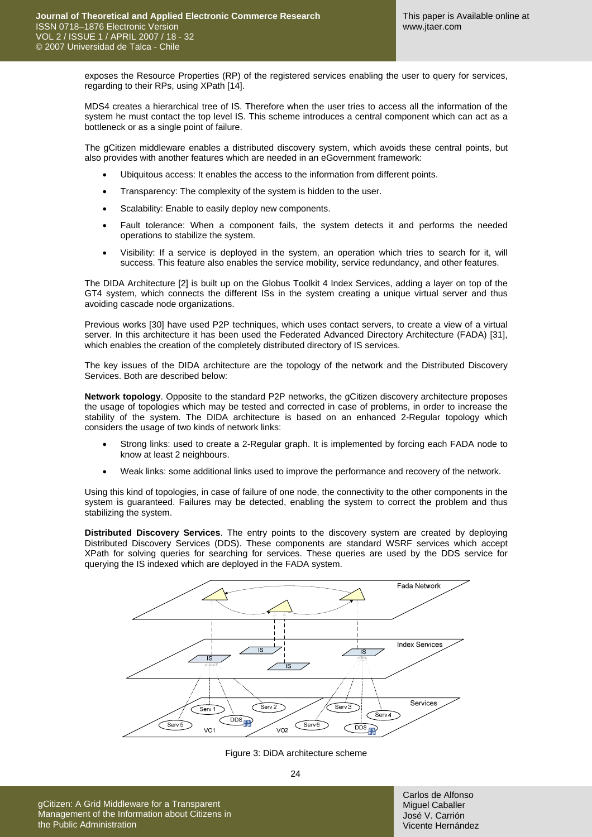exposes the Resource Properties (RP) of the registered services enabling the user to query for services, regarding to their RPs, using XPath [\[14\].](#page-13-13)

MDS4 creates a hierarchical tree of IS. Therefore when the user tries to access all the information of the system he must contact the top level IS. This scheme introduces a central component which can act as a bottleneck or as a single point of failure.

The gCitizen middleware enables a distributed discovery system, which avoids these central points, but also provides with another features which are needed in an eGovernment framework:

- Ubiquitous access: It enables the access to the information from different points.
- Transparency: The complexity of the system is hidden to the user.
- Scalability: Enable to easily deploy new components.
- Fault tolerance: When a component fails, the system detects it and performs the needed operations to stabilize the system.
- Visibility: If a service is deployed in the system, an operation which tries to search for it, will success. This feature also enables the service mobility, service redundancy, and other features.

The DIDA Architecture [\[2\]](#page-13-14) is built up on the Globus Toolkit 4 Index Services, adding a layer on top of the GT4 system, which connects the different ISs in the system creating a unique virtual server and thus avoiding cascade node organizations.

Previous works [\[30\]](#page-14-5) have used P2P techniques, which uses contact servers, to create a view of a virtual server. In this architecture it has been used the Federated Advanced Directory Architecture (FADA) [\[31\],](#page-14-6) which enables the creation of the completely distributed directory of IS services.

The key issues of the DIDA architecture are the topology of the network and the Distributed Discovery Services. Both are described below:

**Network topology**. Opposite to the standard P2P networks, the gCitizen discovery architecture proposes the usage of topologies which may be tested and corrected in case of problems, in order to increase the stability of the system. The DIDA architecture is based on an enhanced 2-Regular topology which considers the usage of two kinds of network links:

- Strong links: used to create a 2-Regular graph. It is implemented by forcing each FADA node to know at least 2 neighbours.
- Weak links: some additional links used to improve the performance and recovery of the network.

Using this kind of topologies, in case of failure of one node, the connectivity to the other components in the system is guaranteed. Failures may be detected, enabling the system to correct the problem and thus stabilizing the system.

**Distributed Discovery Services**. The entry points to the discovery system are created by deploying Distributed Discovery Services (DDS). These components are standard WSRF services which accept XPath for solving queries for searching for services. These queries are used by the DDS service for querying the IS indexed which are deployed in the FADA system.



Figure 3: DiDA architecture scheme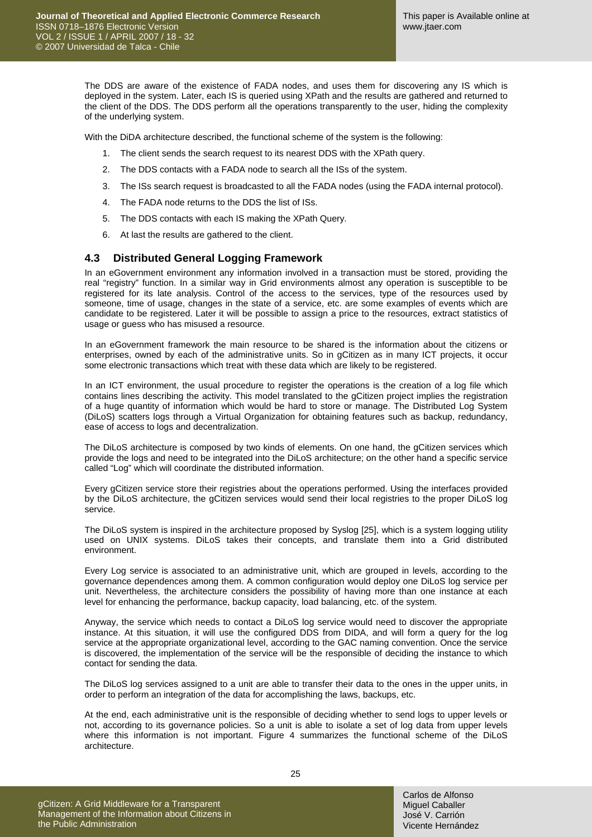The DDS are aware of the existence of FADA nodes, and uses them for discovering any IS which is deployed in the system. Later, each IS is queried using XPath and the results are gathered and returned to the client of the DDS. The DDS perform all the operations transparently to the user, hiding the complexity of the underlying system.

With the DiDA architecture described, the functional scheme of the system is the following:

- 1. The client sends the search request to its nearest DDS with the XPath query.
- 2. The DDS contacts with a FADA node to search all the ISs of the system.
- 3. The ISs search request is broadcasted to all the FADA nodes (using the FADA internal protocol).
- 4. The FADA node returns to the DDS the list of ISs.
- 5. The DDS contacts with each IS making the XPath Query.
- 6. At last the results are gathered to the client.

#### **4.3 Distributed General Logging Framework**

In an eGovernment environment any information involved in a transaction must be stored, providing the real "registry" function. In a similar way in Grid environments almost any operation is susceptible to be registered for its late analysis. Control of the access to the services, type of the resources used by someone, time of usage, changes in the state of a service, etc. are some examples of events which are candidate to be registered. Later it will be possible to assign a price to the resources, extract statistics of usage or guess who has misused a resource.

In an eGovernment framework the main resource to be shared is the information about the citizens or enterprises, owned by each of the administrative units. So in gCitizen as in many ICT projects, it occur some electronic transactions which treat with these data which are likely to be registered.

In an ICT environment, the usual procedure to register the operations is the creation of a log file which contains lines describing the activity. This model translated to the gCitizen project implies the registration of a huge quantity of information which would be hard to store or manage. The Distributed Log System (DiLoS) scatters logs through a Virtual Organization for obtaining features such as backup, redundancy, ease of access to logs and decentralization.

The DiLoS architecture is composed by two kinds of elements. On one hand, the gCitizen services which provide the logs and need to be integrated into the DiLoS architecture; on the other hand a specific service called "Log" which will coordinate the distributed information.

Every gCitizen service store their registries about the operations performed. Using the interfaces provided by the DiLoS architecture, the gCitizen services would send their local registries to the proper DiLoS log service.

The DiLoS system is inspired in the architecture proposed by Syslog [\[25\]](#page-14-7), which is a system logging utility used on UNIX systems. DiLoS takes their concepts, and translate them into a Grid distributed environment.

Every Log service is associated to an administrative unit, which are grouped in levels, according to the governance dependences among them. A common configuration would deploy one DiLoS log service per unit. Nevertheless, the architecture considers the possibility of having more than one instance at each level for enhancing the performance, backup capacity, load balancing, etc. of the system.

Anyway, the service which needs to contact a DiLoS log service would need to discover the appropriate instance. At this situation, it will use the configured DDS from DIDA, and will form a query for the log service at the appropriate organizational level, according to the GAC naming convention. Once the service is discovered, the implementation of the service will be the responsible of deciding the instance to which contact for sending the data.

The DiLoS log services assigned to a unit are able to transfer their data to the ones in the upper units, in order to perform an integration of the data for accomplishing the laws, backups, etc.

At the end, each administrative unit is the responsible of deciding whether to send logs to upper levels or not, according to its governance policies. So a unit is able to isolate a set of log data from upper levels where this information is not important. [Figure 4](#page-8-0) summarizes the functional scheme of the DiLoS architecture.

gCitizen: A Grid Middleware for a Transparent Management of the Information about Citizens in the Public Administration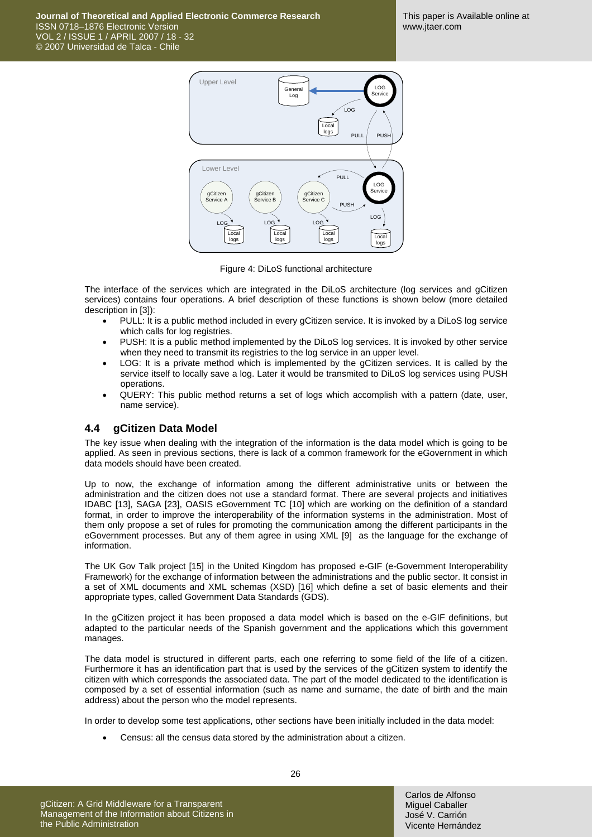**Journal of Theoretical and Applied Electronic Commerce Research**  ISSN 0718–1876 Electronic Version VOL 2 / ISSUE 1 / APRIL 2007 / 18 - 32 © 2007 Universidad de Talca - Chile



Figure 4: DiLoS functional architecture

<span id="page-8-0"></span>The interface of the services which are integrated in the DiLoS architecture (log services and gCitizen services) contains four operations. A brief description of these functions is shown below (more detailed description in [\[3\]\)](#page-13-15):

- PULL: It is a public method included in every gCitizen service. It is invoked by a DiLoS log service which calls for log registries.
- PUSH: It is a public method implemented by the DiLoS log services. It is invoked by other service when they need to transmit its registries to the log service in an upper level.
- LOG: It is a private method which is implemented by the gCitizen services. It is called by the service itself to locally save a log. Later it would be transmited to DiLoS log services using PUSH operations.
- QUERY: This public method returns a set of logs which accomplish with a pattern (date, user, name service).

#### **4.4 gCitizen Data Model**

The key issue when dealing with the integration of the information is the data model which is going to be applied. As seen in previous sections, there is lack of a common framework for the eGovernment in which data models should have been created.

Up to now, the exchange of information among the different administrative units or between the administration and the citizen does not use a standard format. There are several projects and initiatives IDABC [\[13\]](#page-13-16), SAGA [\[23\]](#page-13-17), OASIS eGovernment TC [\[10\]](#page-13-18) which are working on the definition of a standard format, in order to improve the interoperability of the information systems in the administration. Most of them only propose a set of rules for promoting the communication among the different participants in the eGovernment processes. But any of them agree in using XML [\[9\]](#page-13-19) as the language for the exchange of information.

The UK Gov Talk project [\[15\]](#page-13-20) in the United Kingdom has proposed e-GIF (e-Government Interoperability Framework) for the exchange of information between the administrations and the public sector. It consist in a set of XML documents and XML schemas (XSD) [\[16\]](#page-13-21) which define a set of basic elements and their appropriate types, called Government Data Standards (GDS).

In the gCitizen project it has been proposed a data model which is based on the e-GIF definitions, but adapted to the particular needs of the Spanish government and the applications which this government manages.

The data model is structured in different parts, each one referring to some field of the life of a citizen. Furthermore it has an identification part that is used by the services of the gCitizen system to identify the citizen with which corresponds the associated data. The part of the model dedicated to the identification is composed by a set of essential information (such as name and surname, the date of birth and the main address) about the person who the model represents.

In order to develop some test applications, other sections have been initially included in the data model:

• Census: all the census data stored by the administration about a citizen.

gCitizen: A Grid Middleware for a Transparent Management of the Information about Citizens in the Public Administration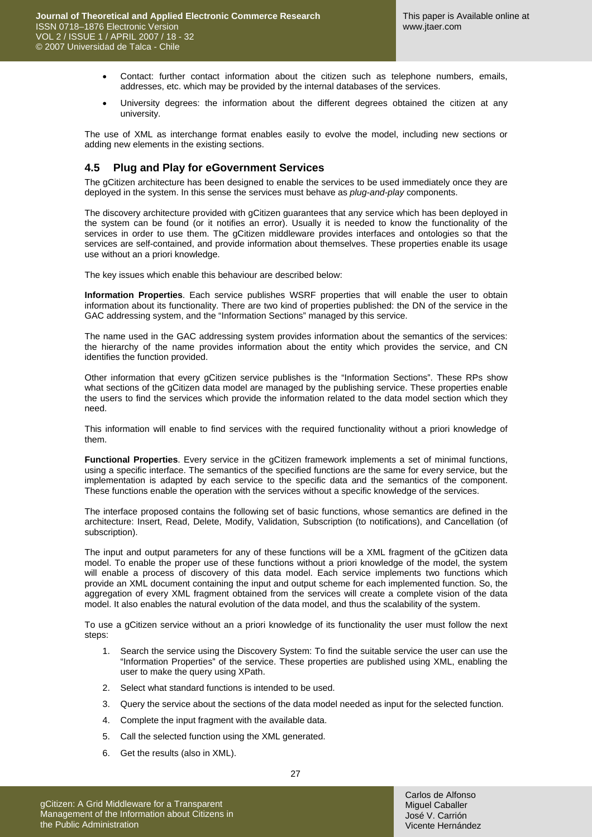- Contact: further contact information about the citizen such as telephone numbers, emails, addresses, etc. which may be provided by the internal databases of the services.
- University degrees: the information about the different degrees obtained the citizen at any university.

The use of XML as interchange format enables easily to evolve the model, including new sections or adding new elements in the existing sections.

#### **4.5 Plug and Play for eGovernment Services**

The gCitizen architecture has been designed to enable the services to be used immediately once they are deployed in the system. In this sense the services must behave as *plug-and-play* components.

The discovery architecture provided with gCitizen guarantees that any service which has been deployed in the system can be found (or it notifies an error). Usually it is needed to know the functionality of the services in order to use them. The gCitizen middleware provides interfaces and ontologies so that the services are self-contained, and provide information about themselves. These properties enable its usage use without an a priori knowledge.

The key issues which enable this behaviour are described below:

**Information Properties**. Each service publishes WSRF properties that will enable the user to obtain information about its functionality. There are two kind of properties published: the DN of the service in the GAC addressing system, and the "Information Sections" managed by this service.

The name used in the GAC addressing system provides information about the semantics of the services: the hierarchy of the name provides information about the entity which provides the service, and CN identifies the function provided.

Other information that every gCitizen service publishes is the "Information Sections". These RPs show what sections of the gCitizen data model are managed by the publishing service. These properties enable the users to find the services which provide the information related to the data model section which they need.

This information will enable to find services with the required functionality without a priori knowledge of them.

**Functional Properties**. Every service in the gCitizen framework implements a set of minimal functions, using a specific interface. The semantics of the specified functions are the same for every service, but the implementation is adapted by each service to the specific data and the semantics of the component. These functions enable the operation with the services without a specific knowledge of the services.

The interface proposed contains the following set of basic functions, whose semantics are defined in the architecture: Insert, Read, Delete, Modify, Validation, Subscription (to notifications), and Cancellation (of subscription).

The input and output parameters for any of these functions will be a XML fragment of the gCitizen data model. To enable the proper use of these functions without a priori knowledge of the model, the system will enable a process of discovery of this data model. Each service implements two functions which provide an XML document containing the input and output scheme for each implemented function. So, the aggregation of every XML fragment obtained from the services will create a complete vision of the data model. It also enables the natural evolution of the data model, and thus the scalability of the system.

To use a gCitizen service without an a priori knowledge of its functionality the user must follow the next steps:

- 1. Search the service using the Discovery System: To find the suitable service the user can use the "Information Properties" of the service. These properties are published using XML, enabling the user to make the query using XPath.
- 2. Select what standard functions is intended to be used.
- 3. Query the service about the sections of the data model needed as input for the selected function.
- 4. Complete the input fragment with the available data.
- 5. Call the selected function using the XML generated.
- 6. Get the results (also in XML).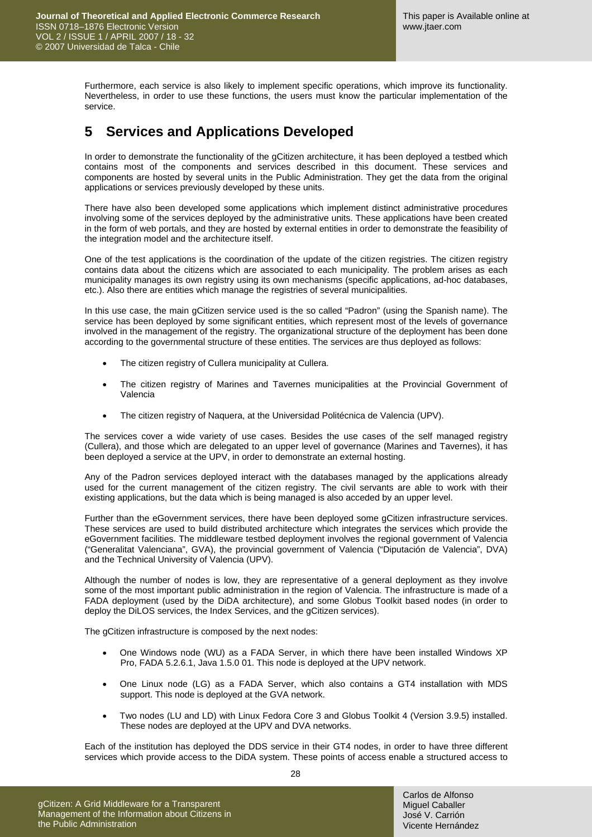Furthermore, each service is also likely to implement specific operations, which improve its functionality. Nevertheless, in order to use these functions, the users must know the particular implementation of the service.

### **5 Services and Applications Developed**

In order to demonstrate the functionality of the gCitizen architecture, it has been deployed a testbed which contains most of the components and services described in this document. These services and components are hosted by several units in the Public Administration. They get the data from the original applications or services previously developed by these units.

There have also been developed some applications which implement distinct administrative procedures involving some of the services deployed by the administrative units. These applications have been created in the form of web portals, and they are hosted by external entities in order to demonstrate the feasibility of the integration model and the architecture itself.

One of the test applications is the coordination of the update of the citizen registries. The citizen registry contains data about the citizens which are associated to each municipality. The problem arises as each municipality manages its own registry using its own mechanisms (specific applications, ad-hoc databases, etc.). Also there are entities which manage the registries of several municipalities.

In this use case, the main gCitizen service used is the so called "Padron" (using the Spanish name). The service has been deployed by some significant entities, which represent most of the levels of governance involved in the management of the registry. The organizational structure of the deployment has been done according to the governmental structure of these entities. The services are thus deployed as follows:

- The citizen registry of Cullera municipality at Cullera.
- The citizen registry of Marines and Tavernes municipalities at the Provincial Government of Valencia
- The citizen registry of Naquera, at the Universidad Politécnica de Valencia (UPV).

The services cover a wide variety of use cases. Besides the use cases of the self managed registry (Cullera), and those which are delegated to an upper level of governance (Marines and Tavernes), it has been deployed a service at the UPV, in order to demonstrate an external hosting.

Any of the Padron services deployed interact with the databases managed by the applications already used for the current management of the citizen registry. The civil servants are able to work with their existing applications, but the data which is being managed is also acceded by an upper level.

Further than the eGovernment services, there have been deployed some gCitizen infrastructure services. These services are used to build distributed architecture which integrates the services which provide the eGovernment facilities. The middleware testbed deployment involves the regional government of Valencia ("Generalitat Valenciana", GVA), the provincial government of Valencia ("Diputación de Valencia", DVA) and the Technical University of Valencia (UPV).

Although the number of nodes is low, they are representative of a general deployment as they involve some of the most important public administration in the region of Valencia. The infrastructure is made of a FADA deployment (used by the DiDA architecture), and some Globus Toolkit based nodes (in order to deploy the DiLOS services, the Index Services, and the gCitizen services).

The gCitizen infrastructure is composed by the next nodes:

- One Windows node (WU) as a FADA Server, in which there have been installed Windows XP Pro, FADA 5.2.6.1, Java 1.5.0 01. This node is deployed at the UPV network.
- One Linux node (LG) as a FADA Server, which also contains a GT4 installation with MDS support. This node is deployed at the GVA network.
- Two nodes (LU and LD) with Linux Fedora Core 3 and Globus Toolkit 4 (Version 3.9.5) installed. These nodes are deployed at the UPV and DVA networks.

Each of the institution has deployed the DDS service in their GT4 nodes, in order to have three different services which provide access to the DiDA system. These points of access enable a structured access to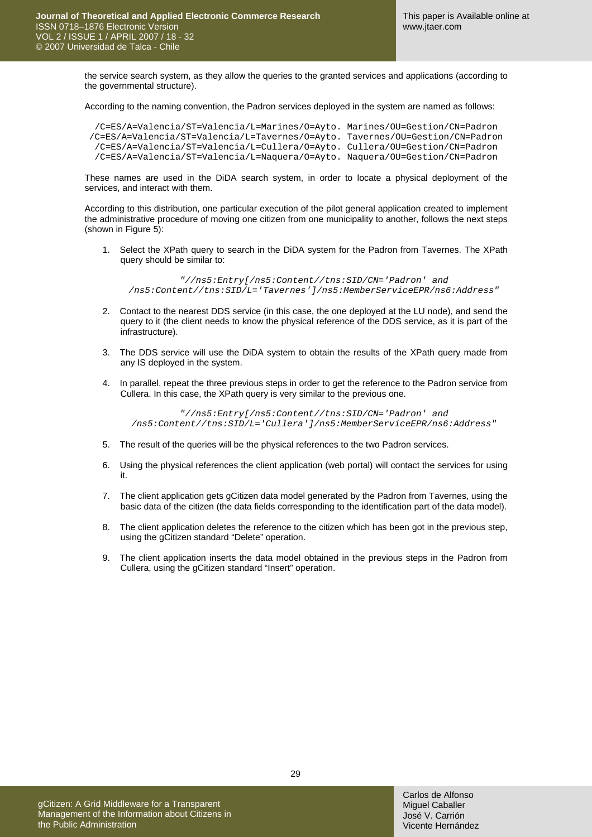the service search system, as they allow the queries to the granted services and applications (according to the governmental structure).

According to the naming convention, the Padron services deployed in the system are named as follows:

/C=ES/A=Valencia/ST=Valencia/L=Marines/O=Ayto. Marines/OU=Gestion/CN=Padron /C=ES/A=Valencia/ST=Valencia/L=Tavernes/O=Ayto. Tavernes/OU=Gestion/CN=Padron /C=ES/A=Valencia/ST=Valencia/L=Cullera/O=Ayto. Cullera/OU=Gestion/CN=Padron /C=ES/A=Valencia/ST=Valencia/L=Naquera/O=Ayto. Naquera/OU=Gestion/CN=Padron

These names are used in the DiDA search system, in order to locate a physical deployment of the services, and interact with them.

According to this distribution, one particular execution of the pilot general application created to implement the administrative procedure of moving one citizen from one municipality to another, follows the next steps (shown in [Figure 5](#page-12-0)):

1. Select the XPath query to search in the DiDA system for the Padron from Tavernes. The XPath query should be similar to:

*"//ns5:Entry[/ns5:Content//tns:SID/CN='Padron' and /ns5:Content//tns:SID/L='Tavernes']/ns5:MemberServiceEPR/ns6:Address"* 

- 2. Contact to the nearest DDS service (in this case, the one deployed at the LU node), and send the query to it (the client needs to know the physical reference of the DDS service, as it is part of the infrastructure).
- 3. The DDS service will use the DiDA system to obtain the results of the XPath query made from any IS deployed in the system.
- 4. In parallel, repeat the three previous steps in order to get the reference to the Padron service from Cullera. In this case, the XPath query is very similar to the previous one.

*"//ns5:Entry[/ns5:Content//tns:SID/CN='Padron' and /ns5:Content//tns:SID/L='Cullera']/ns5:MemberServiceEPR/ns6:Address"* 

- 5. The result of the queries will be the physical references to the two Padron services.
- 6. Using the physical references the client application (web portal) will contact the services for using it.
- 7. The client application gets gCitizen data model generated by the Padron from Tavernes, using the basic data of the citizen (the data fields corresponding to the identification part of the data model).
- 8. The client application deletes the reference to the citizen which has been got in the previous step, using the gCitizen standard "Delete" operation.
- 9. The client application inserts the data model obtained in the previous steps in the Padron from Cullera, using the gCitizen standard "Insert" operation.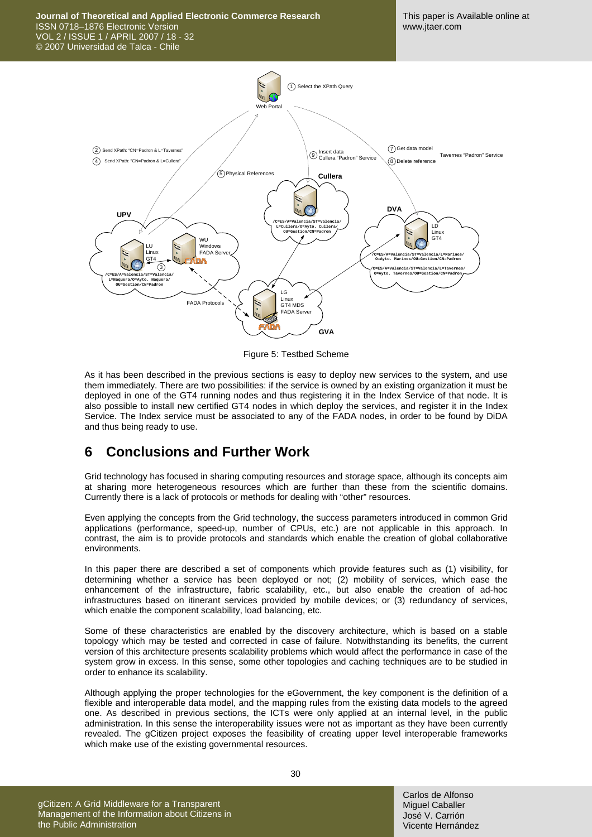

Figure 5: Testbed Scheme

<span id="page-12-0"></span>As it has been described in the previous sections is easy to deploy new services to the system, and use them immediately. There are two possibilities: if the service is owned by an existing organization it must be deployed in one of the GT4 running nodes and thus registering it in the Index Service of that node. It is also possible to install new certified GT4 nodes in which deploy the services, and register it in the Index Service. The Index service must be associated to any of the FADA nodes, in order to be found by DiDA and thus being ready to use.

### **6 Conclusions and Further Work**

Grid technology has focused in sharing computing resources and storage space, although its concepts aim at sharing more heterogeneous resources which are further than these from the scientific domains. Currently there is a lack of protocols or methods for dealing with "other" resources.

Even applying the concepts from the Grid technology, the success parameters introduced in common Grid applications (performance, speed-up, number of CPUs, etc.) are not applicable in this approach. In contrast, the aim is to provide protocols and standards which enable the creation of global collaborative environments.

In this paper there are described a set of components which provide features such as (1) visibility, for determining whether a service has been deployed or not; (2) mobility of services, which ease the enhancement of the infrastructure, fabric scalability, etc., but also enable the creation of ad-hoc infrastructures based on itinerant services provided by mobile devices; or (3) redundancy of services, which enable the component scalability, load balancing, etc.

Some of these characteristics are enabled by the discovery architecture, which is based on a stable topology which may be tested and corrected in case of failure. Notwithstanding its benefits, the current version of this architecture presents scalability problems which would affect the performance in case of the system grow in excess. In this sense, some other topologies and caching techniques are to be studied in order to enhance its scalability.

Although applying the proper technologies for the eGovernment, the key component is the definition of a flexible and interoperable data model, and the mapping rules from the existing data models to the agreed one. As described in previous sections, the ICTs were only applied at an internal level, in the public administration. In this sense the interoperability issues were not as important as they have been currently revealed. The gCitizen project exposes the feasibility of creating upper level interoperable frameworks which make use of the existing governmental resources.

gCitizen: A Grid Middleware for a Transparent Management of the Information about Citizens in the Public Administration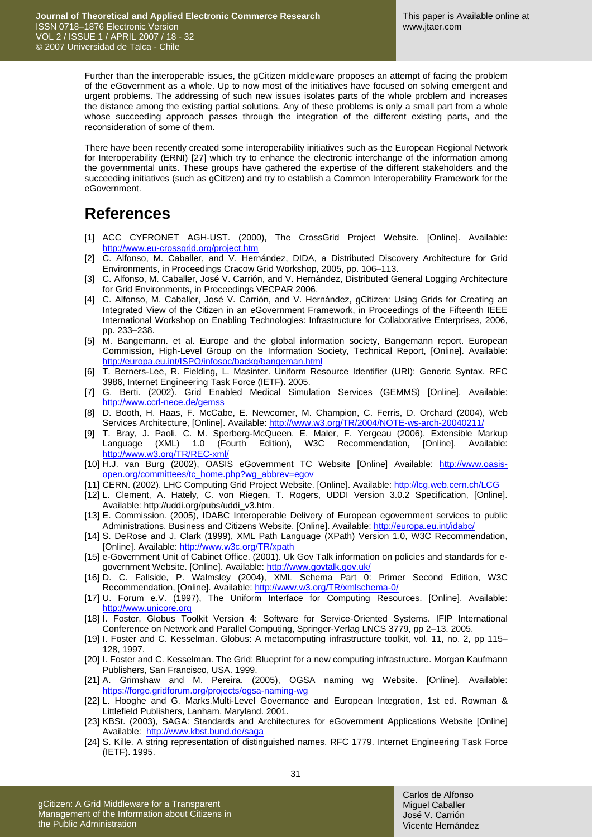Further than the interoperable issues, the gCitizen middleware proposes an attempt of facing the problem of the eGovernment as a whole. Up to now most of the initiatives have focused on solving emergent and urgent problems. The addressing of such new issues isolates parts of the whole problem and increases the distance among the existing partial solutions. Any of these problems is only a small part from a whole whose succeeding approach passes through the integration of the different existing parts, and the reconsideration of some of them.

There have been recently created some interoperability initiatives such as the European Regional Network for Interoperability (ERNI) [\[27\]](#page-14-8) which try to enhance the electronic interchange of the information among the governmental units. These groups have gathered the expertise of the different stakeholders and the succeeding initiatives (such as gCitizen) and try to establish a Common Interoperability Framework for the eGovernment.

# **References**

- <span id="page-13-6"></span>[1] ACC CYFRONET AGH-UST. (2000). The CrossGrid Project Website. [Online]. Available: <http://www.eu-crossgrid.org/project.htm>
- <span id="page-13-14"></span>[2] C. Alfonso, M. Caballer, and V. Hernández, DIDA, a Distributed Discovery Architecture for Grid Environments, in Proceedings Cracow Grid Workshop, 2005, pp. 106–113.
- <span id="page-13-15"></span>[3] C. Alfonso, M. Caballer, José V. Carrión, and V. Hernández, Distributed General Logging Architecture for Grid Environments, in Proceedings VECPAR 2006.
- <span id="page-13-0"></span>[4] C. Alfonso, M. Caballer, José V. Carrión, and V. Hernández, gCitizen: Using Grids for Creating an Integrated View of the Citizen in an eGovernment Framework, in Proceedings of the Fifteenth IEEE International Workshop on Enabling Technologies: Infrastructure for Collaborative Enterprises, 2006, pp. 233–238.
- <span id="page-13-2"></span>[5] M. Bangemann. et al. Europe and the global information society, Bangemann report. European Commission, High-Level Group on the Information Society, Technical Report, [Online]. Available: <http://europa.eu.int/ISPO/infosoc/backg/bangeman.html>
- <span id="page-13-9"></span>[6] T. Berners-Lee, R. Fielding, L. Masinter. Uniform Resource Identifier (URI): Generic Syntax. RFC 3986, Internet Engineering Task Force (IETF). 2005.
- <span id="page-13-7"></span>[7] G. Berti. (2002). Grid Enabled Medical Simulation Services (GEMMS) [Online]. Available: <http://www.ccrl-nece.de/gemss>
- <span id="page-13-4"></span>[8] D. Booth, H. Haas, F. McCabe, E. Newcomer, M. Champion, C. Ferris, D. Orchard (2004), Web Services Architecture, [Online]. Available: http://www.w3.org/TR/2004/NOTE-ws-arch-20040211/
- <span id="page-13-19"></span>[9] T. Bray, J. Paoli, C. M. Sperberg-McQueen, E. Maler, F. Yergeau (2006), Extensible Markup Language (XML) 1.0 (Fourth Edition), W3C Recommendation, [Online]. Available: <http://www.w3.org/TR/REC-xml/>
- <span id="page-13-18"></span>[10] H.J. van Burg (2002), OASIS eGovernment TC Website [Online] Available: [http://www.oasis](http://www.oasis-open.org/committees/tc_home.php?wg_abbrev=egov)[open.org/committees/tc\\_home.php?wg\\_abbrev=egov](http://www.oasis-open.org/committees/tc_home.php?wg_abbrev=egov)
- [11] CERN. (2002). LHC Computing Grid Project Website. [Online]. Available:<http://lcg.web.cern.ch/LCG>
- <span id="page-13-12"></span>[12] L. Clement, A. Hately, C. von Riegen, T. Rogers, UDDI Version 3.0.2 Specification, [Online]. Available: http://uddi.org/pubs/uddi\_v3.htm.
- <span id="page-13-16"></span>[13] E. Commission. (2005), IDABC Interoperable Delivery of European egovernment services to public Administrations, Business and Citizens Website. [Online]. Available: <http://europa.eu.int/idabc/>
- <span id="page-13-13"></span>[14] S. DeRose and J. Clark (1999), XML Path Language (XPath) Version 1.0, W3C Recommendation, [Online]. Available: <http://www.w3c.org/TR/xpath>
- <span id="page-13-20"></span>[15] e-Government Unit of Cabinet Office. (2001). Uk Gov Talk information on policies and standards for egovernment Website. [Online]. Available:<http://www.govtalk.gov.uk/>
- <span id="page-13-21"></span>[16] D. C. Fallside, P. Walmsley (2004), XML Schema Part 0: Primer Second Edition, W3C Recommendation, [Online]. Available:<http://www.w3.org/TR/xmlschema-0/>
- <span id="page-13-5"></span>[17] U. Forum e.V. (1997), The Uniform Interface for Computing Resources. [Online]. Available: [http://www.unicore.org](http://www.unicore.org/)
- <span id="page-13-1"></span>[18] I. Foster, Globus Toolkit Version 4: Software for Service-Oriented Systems. IFIP International Conference on Network and Parallel Computing, Springer-Verlag LNCS 3779, pp 2–13. 2005.
- <span id="page-13-3"></span>[19] I. Foster and C. Kesselman. Globus: A metacomputing infrastructure toolkit, vol. 11, no. 2, pp 115– 128, 1997.
- <span id="page-13-8"></span>[20] I. Foster and C. Kesselman. The Grid: Blueprint for a new computing infrastructure. Morgan Kaufmann Publishers, San Francisco, USA. 1999.
- <span id="page-13-11"></span>[21] A. Grimshaw and M. Pereira. (2005), OGSA naming wg Website. [Online]. Available: <https://forge.gridforum.org/projects/ogsa-naming-wg>
- [22] L. Hooghe and G. Marks.Multi-Level Governance and European Integration, 1st ed. Rowman & Littlefield Publishers, Lanham, Maryland. 2001.
- <span id="page-13-17"></span>[23] KBSt. (2003), SAGA: Standards and Architectures for eGovernment Applications Website [Online] Available: <http://www.kbst.bund.de/saga>
- <span id="page-13-10"></span>[24] S. Kille. A string representation of distinguished names. RFC 1779. Internet Engineering Task Force (IETF). 1995.